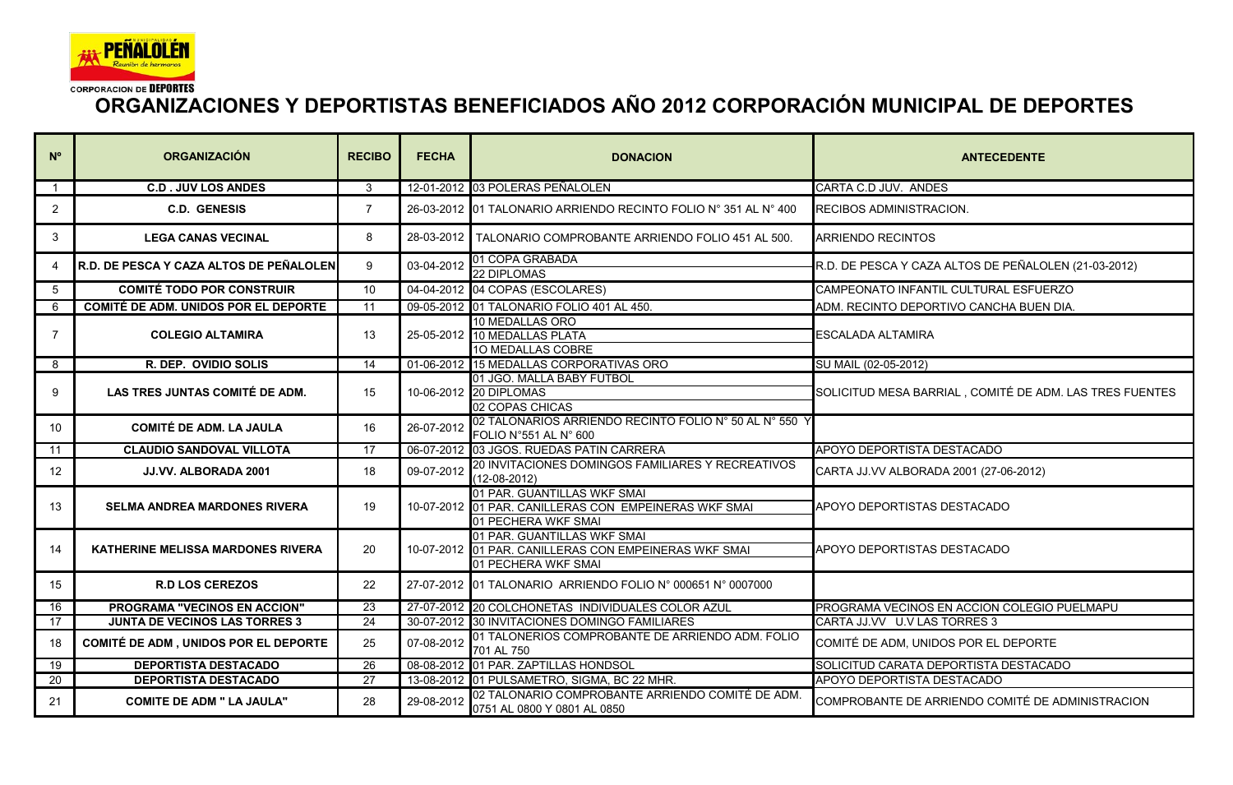

## **ORGANIZACIONES Y DEPORTISTAS BENEFICIADOS AÑO 2012 CORPORACIÓN MUNICIPAL DE DEPORTES**

| $N^{\circ}$    | <b>ORGANIZACIÓN</b>                         | <b>RECIBO</b>   | <b>FECHA</b> | <b>DONACION</b>                                                                                             | <b>ANTECEDENTE</b>                                      |
|----------------|---------------------------------------------|-----------------|--------------|-------------------------------------------------------------------------------------------------------------|---------------------------------------------------------|
| $\mathbf{1}$   | <b>C.D. JUV LOS ANDES</b>                   | 3               |              | 12-01-2012 03 POLERAS PEÑALOLEN                                                                             | CARTA C.D JUV. ANDES                                    |
| 2              | <b>C.D. GENESIS</b>                         | $\overline{7}$  |              | 26-03-2012 01 TALONARIO ARRIENDO RECINTO FOLIO Nº 351 AL Nº 400                                             | <b>RECIBOS ADMINISTRACION.</b>                          |
| 3              | <b>LEGA CANAS VECINAL</b>                   | 8               |              | 28-03-2012 TALONARIO COMPROBANTE ARRIENDO FOLIO 451 AL 500.                                                 | <b>ARRIENDO RECINTOS</b>                                |
| 4              | R.D. DE PESCA Y CAZA ALTOS DE PEÑALOLEN     | 9               | 03-04-2012   | 01 COPA GRABADA<br><b>22 DIPLOMAS</b>                                                                       | R.D. DE PESCA Y CAZA ALTOS DE PEÑALOLEN (21-03-2012)    |
| $5^{\circ}$    | <b>COMITÉ TODO POR CONSTRUIR</b>            | 10              |              | 04-04-2012 04 COPAS (ESCOLARES)                                                                             | CAMPEONATO INFANTIL CULTURAL ESFUERZO                   |
| 6              | <b>COMITÉ DE ADM. UNIDOS POR EL DEPORTE</b> | 11              |              | 09-05-2012 01 TALONARIO FOLIO 401 AL 450.                                                                   | ADM. RECINTO DEPORTIVO CANCHA BUEN DIA.                 |
| $\overline{7}$ | <b>COLEGIO ALTAMIRA</b>                     | 13              |              | 10 MEDALLAS ORO<br>25-05-2012 10 MEDALLAS PLATA<br>10 MEDALLAS COBRE                                        | <b>ESCALADA ALTAMIRA</b>                                |
| 8              | R. DEP. OVIDIO SOLIS                        | 14              |              | 01-06-2012 15 MEDALLAS CORPORATIVAS ORO                                                                     | SU MAIL (02-05-2012)                                    |
| 9              | LAS TRES JUNTAS COMITÉ DE ADM.              | 15              |              | 01 JGO. MALLA BABY FUTBOL<br>10-06-2012 20 DIPLOMAS<br>02 COPAS CHICAS                                      | SOLICITUD MESA BARRIAL, COMITÉ DE ADM. LAS TRES FUENTES |
| 10             | <b>COMITÉ DE ADM. LA JAULA</b>              | 16              | 26-07-2012   | 02 TALONARIOS ARRIENDO RECINTO FOLIO Nº 50 AL Nº 550 Y<br>FOLIO N°551 AL N° 600                             |                                                         |
| 11             | <b>CLAUDIO SANDOVAL VILLOTA</b>             | 17              |              | 06-07-2012 03 JGOS. RUEDAS PATIN CARRERA                                                                    | APOYO DEPORTISTA DESTACADO                              |
| 12             | JJ.VV. ALBORADA 2001                        | 18              | 09-07-2012   | 20 INVITACIONES DOMINGOS FAMILIARES Y RECREATIVOS<br>(12-08-2012)                                           | CARTA JJ.VV ALBORADA 2001 (27-06-2012)                  |
| 13             | <b>SELMA ANDREA MARDONES RIVERA</b>         | 19              |              | 01 PAR. GUANTILLAS WKF SMAI<br>10-07-2012 01 PAR. CANILLERAS CON EMPEINERAS WKF SMAI<br>01 PECHERA WKF SMAI | APOYO DEPORTISTAS DESTACADO                             |
| 14             | <b>KATHERINE MELISSA MARDONES RIVERA</b>    | 20              |              | 01 PAR. GUANTILLAS WKF SMAI<br>10-07-2012 01 PAR. CANILLERAS CON EMPEINERAS WKF SMAI<br>01 PECHERA WKF SMAI | APOYO DEPORTISTAS DESTACADO                             |
| 15             | <b>R.D LOS CEREZOS</b>                      | 22              |              | 27-07-2012 01 TALONARIO ARRIENDO FOLIO Nº 000651 Nº 0007000                                                 |                                                         |
| 16             | PROGRAMA "VECINOS EN ACCION"                | 23              |              | 27-07-2012 20 COLCHONETAS INDIVIDUALES COLOR AZUL                                                           | PROGRAMA VECINOS EN ACCION COLEGIO PUELMAPU             |
| 17             | <b>JUNTA DE VECINOS LAS TORRES 3</b>        | 24              |              | 30-07-2012 30 INVITACIONES DOMINGO FAMILIARES                                                               | CARTA JJ.VV U.V LAS TORRES 3                            |
| 18             | <b>COMITÉ DE ADM, UNIDOS POR EL DEPORTE</b> | 25              | 07-08-2012   | 01 TALONERIOS COMPROBANTE DE ARRIENDO ADM. FOLIO<br>701 AL 750                                              | COMITÉ DE ADM, UNIDOS POR EL DEPORTE                    |
| 19             | <b>DEPORTISTA DESTACADO</b>                 | 26              |              | 08-08-2012 01 PAR. ZAPTILLAS HONDSOL                                                                        | SOLICITUD CARATA DEPORTISTA DESTACADO                   |
| 20             | <b>DEPORTISTA DESTACADO</b>                 | $\overline{27}$ |              | 13-08-2012 01 PULSAMETRO, SIGMA, BC 22 MHR.                                                                 | APOYO DEPORTISTA DESTACADO                              |
| 21             | <b>COMITE DE ADM " LA JAULA"</b>            | 28              | 29-08-2012   | 02 TALONARIO COMPROBANTE ARRIENDO COMITÉ DE ADM.<br>0751 AL 0800 Y 0801 AL 0850                             | COMPROBANTE DE ARRIENDO COMITÉ DE ADMINISTRACION        |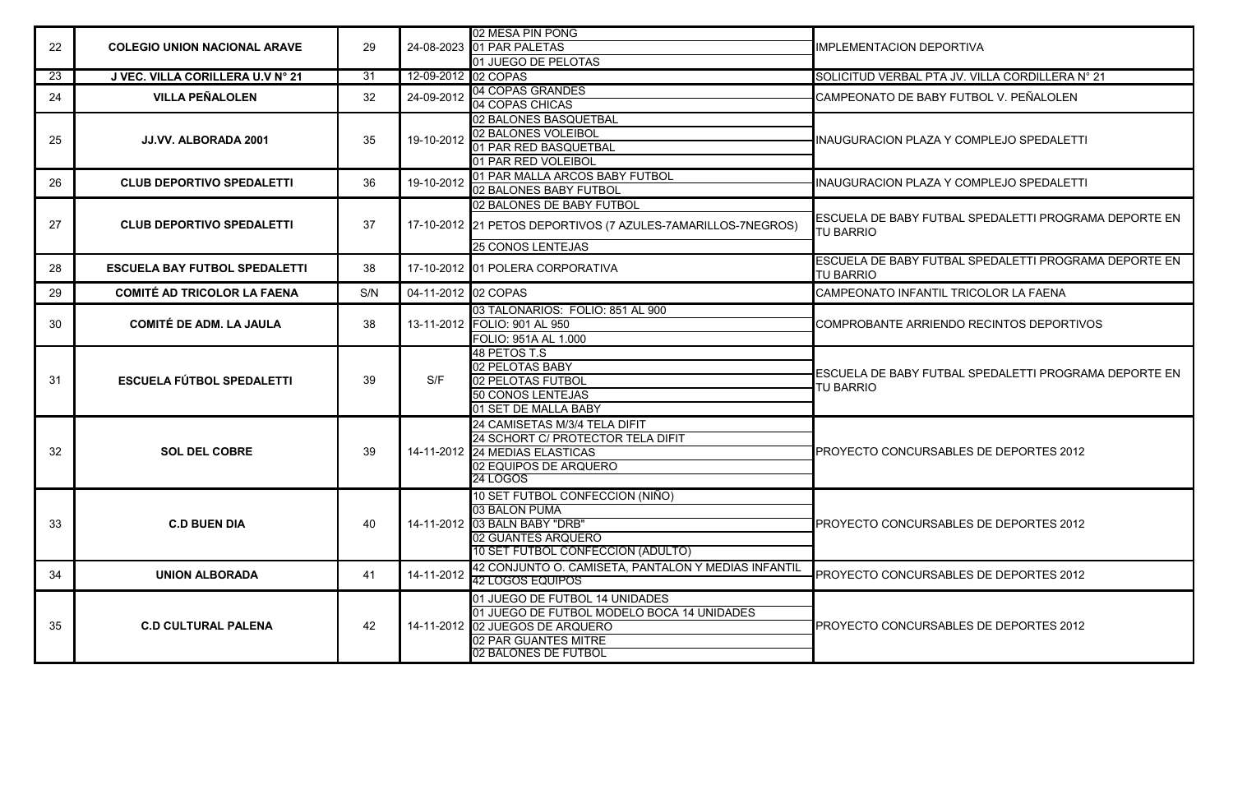| 22  | <b>COLEGIO UNION NACIONAL ARAVE</b>  | 29  |                     | 02 MESA PIN PONG                                             |                                                                           |
|-----|--------------------------------------|-----|---------------------|--------------------------------------------------------------|---------------------------------------------------------------------------|
|     |                                      |     |                     | 24-08-2023 01 PAR PALETAS                                    | <b>IIMPLEMENTACION DEPORTIVA</b>                                          |
|     |                                      |     |                     | 01 JUEGO DE PELOTAS                                          |                                                                           |
| 23  | J VEC. VILLA CORILLERA U.V Nº 21     | 31  | 12-09-2012 02 COPAS |                                                              | SOLICITUD VERBAL PTA JV. VILLA CORDILLERA N° 21                           |
| 24  | <b>VILLA PEÑALOLEN</b>               | 32  | 24-09-2012          | 04 COPAS GRANDES                                             | CAMPEONATO DE BABY FUTBOL V. PEÑALOLEN                                    |
|     |                                      |     |                     | 04 COPAS CHICAS                                              |                                                                           |
|     | JJ.VV. ALBORADA 2001                 |     |                     | 02 BALONES BASQUETBAL                                        |                                                                           |
| 25  |                                      | 35  |                     | 19-10-2012 02 BALONES VOLEIBOL                               | INAUGURACION PLAZA Y COMPLEJO SPEDALETTI                                  |
|     |                                      |     |                     | 01 PAR RED BASQUETBAL                                        |                                                                           |
|     |                                      |     |                     | 01 PAR RED VOLEIBOL                                          |                                                                           |
| 26  | <b>CLUB DEPORTIVO SPEDALETTI</b>     | 36  | 19-10-2012          | 01 PAR MALLA ARCOS BABY FUTBOL                               | INAUGURACION PLAZA Y COMPLEJO SPEDALETTI                                  |
|     |                                      |     |                     | 02 BALONES BABY FUTBOL                                       |                                                                           |
| 27  |                                      |     |                     | 02 BALONES DE BABY FUTBOL                                    |                                                                           |
|     | <b>CLUB DEPORTIVO SPEDALETTI</b>     | 37  |                     | 17-10-2012 21 PETOS DEPORTIVOS (7 AZULES-7AMARILLOS-7NEGROS) | ESCUELA DE BABY FUTBAL SPEDALETTI PROGRAMA DEPORTE EN<br><b>TU BARRIO</b> |
|     |                                      |     |                     | <b>25 CONOS LENTEJAS</b>                                     |                                                                           |
| 28  | <b>ESCUELA BAY FUTBOL SPEDALETTI</b> | 38  |                     | 17-10-2012 01 POLERA CORPORATIVA                             | ESCUELA DE BABY FUTBAL SPEDALETTI PROGRAMA DEPORTE EN<br><b>TU BARRIO</b> |
| 29  | <b>COMITÉ AD TRICOLOR LA FAENA</b>   | S/N | 04-11-2012 02 COPAS |                                                              | CAMPEONATO INFANTIL TRICOLOR LA FAENA                                     |
|     | <b>COMITÉ DE ADM. LA JAULA</b>       | 38  |                     | 03 TALONARIOS: FOLIO: 851 AL 900                             | COMPROBANTE ARRIENDO RECINTOS DEPORTIVOS                                  |
| 30  |                                      |     |                     | 13-11-2012 FOLIO: 901 AL 950                                 |                                                                           |
|     |                                      |     |                     | FOLIO: 951A AL 1.000                                         |                                                                           |
|     |                                      | 39  | S/F                 | 48 PETOS T.S                                                 | ESCUELA DE BABY FUTBAL SPEDALETTI PROGRAMA DEPORTE EN<br>TU BARRIO        |
|     | ESCUELA FÚTBOL SPEDALETTI            |     |                     | 02 PELOTAS BABY                                              |                                                                           |
| -31 |                                      |     |                     | 02 PELOTAS FUTBOL                                            |                                                                           |
|     |                                      |     |                     | 50 CONOS LENTEJAS                                            |                                                                           |
|     |                                      |     |                     | 01 SET DE MALLA BABY                                         |                                                                           |
|     |                                      | 39  |                     | 24 CAMISETAS M/3/4 TELA DIFIT                                | <b>PROYECTO CONCURSABLES DE DEPORTES 2012</b>                             |
|     | <b>SOL DEL COBRE</b>                 |     |                     | 24 SCHORT C/ PROTECTOR TELA DIFIT                            |                                                                           |
| 32  |                                      |     |                     | 14-11-2012 24 MEDIAS ELASTICAS                               |                                                                           |
|     |                                      |     |                     | 02 EQUIPOS DE ARQUERO                                        |                                                                           |
|     |                                      |     |                     | 24 LOGOS                                                     |                                                                           |
|     | <b>C.D BUEN DIA</b>                  | 40  |                     | 10 SET FUTBOL CONFECCION (NIÑO)                              | <b>PROYECTO CONCURSABLES DE DEPORTES 2012</b>                             |
|     |                                      |     |                     | 03 BALON PUMA                                                |                                                                           |
| 33  |                                      |     |                     | 14-11-2012 03 BALN BABY "DRB"                                |                                                                           |
|     |                                      |     |                     | 02 GUANTES ARQUERO                                           |                                                                           |
|     |                                      |     |                     | 10 SET FUTBOL CONFECCION (ADULTO)                            |                                                                           |
| 34  | <b>UNION ALBORADA</b>                | 41  | 14-11-2012          | 42 CONJUNTO O. CAMISETA, PANTALON Y MEDIAS INFANTIL          | PROYECTO CONCURSABLES DE DEPORTES 2012                                    |
|     |                                      |     |                     | 42 LOGOS EQUIPOS                                             |                                                                           |
|     | <b>C.D CULTURAL PALENA</b>           | 42  |                     | 01 JUEGO DE FUTBOL 14 UNIDADES                               |                                                                           |
| 35  |                                      |     |                     | 01 JUEGO DE FUTBOL MODELO BOCA 14 UNIDADES                   |                                                                           |
|     |                                      |     |                     | 14-11-2012 02 JUEGOS DE ARQUERO                              | <b>PROYECTO CONCURSABLES DE DEPORTES 2012</b>                             |
|     |                                      |     |                     | 02 PAR GUANTES MITRE                                         |                                                                           |
|     |                                      |     |                     | 02 BALONES DE FUTBOL                                         |                                                                           |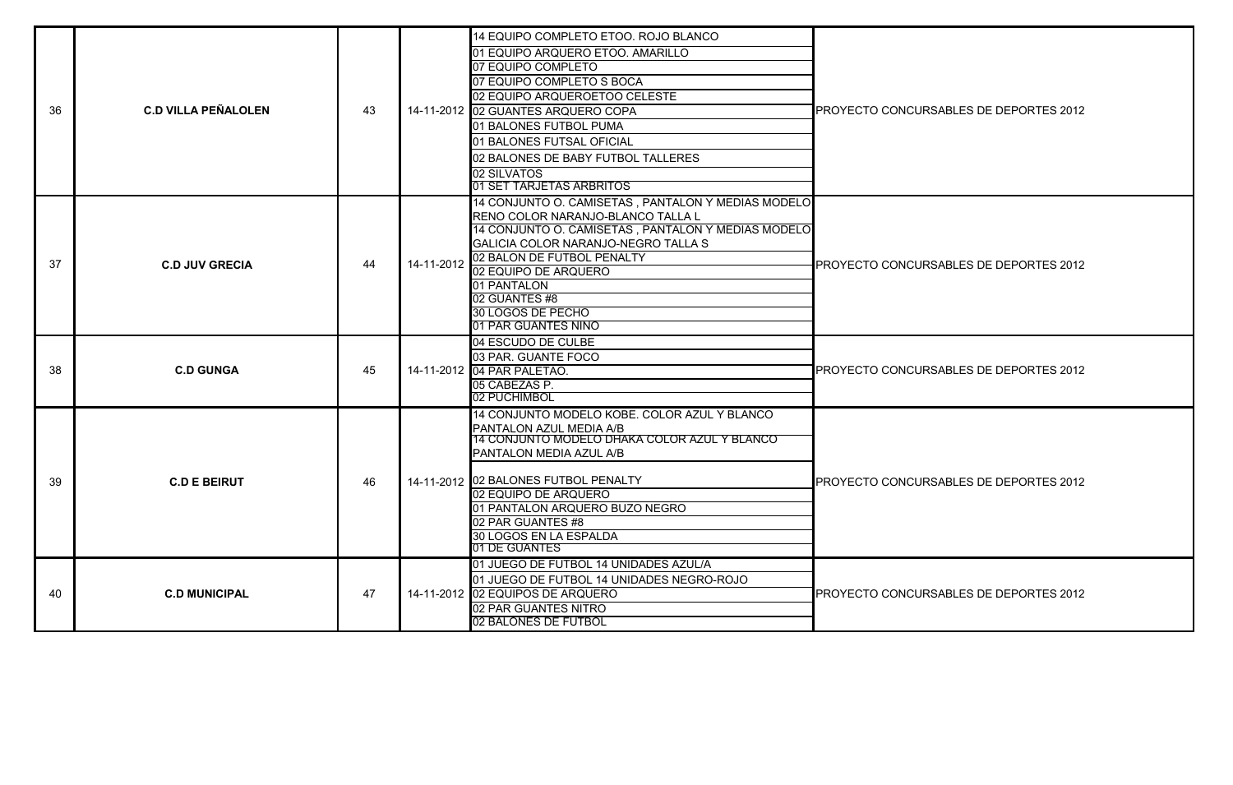| 36 | <b>C.D VILLA PEÑALOLEN</b> | 43 |            | 14 EQUIPO COMPLETO ETOO. ROJO BLANCO<br>01 EQUIPO ARQUERO ETOO. AMARILLO<br>07 EQUIPO COMPLETO<br>07 EQUIPO COMPLETO S BOCA<br>02 EQUIPO ARQUEROETOO CELESTE<br>14-11-2012 02 GUANTES ARQUERO COPA<br>01 BALONES FUTBOL PUMA<br>01 BALONES FUTSAL OFICIAL<br>02 BALONES DE BABY FUTBOL TALLERES<br>02 SILVATOS<br>01 SET TARJETAS ARBRITOS | PROYECTO CONCURSABLES DE DEPORTES 2012        |
|----|----------------------------|----|------------|--------------------------------------------------------------------------------------------------------------------------------------------------------------------------------------------------------------------------------------------------------------------------------------------------------------------------------------------|-----------------------------------------------|
| 37 | <b>C.D JUV GRECIA</b>      | 44 | 14-11-2012 | 14 CONJUNTO O. CAMISETAS, PANTALON Y MEDIAS MODELO<br>IRENO COLOR NARANJO-BLANCO TALLA L<br>14 CONJUNTO O. CAMISETAS, PANTALON Y MEDIAS MODELO<br>GALICIA COLOR NARANJO-NEGRO TALLA S<br>02 BALON DE FUTBOL PENALTY<br>02 EQUIPO DE ARQUERO<br>01 PANTALON<br>02 GUANTES #8<br>30 LOGOS DE PECHO<br>01 PAR GUANTES NINO                    | PROYECTO CONCURSABLES DE DEPORTES 2012        |
| 38 | <b>C.D GUNGA</b>           | 45 |            | 04 ESCUDO DE CULBE<br>03 PAR. GUANTE FOCO<br>14-11-2012 04 PAR PALETAO.<br>05 CABEZAS P.<br>02 PUCHIMBOL                                                                                                                                                                                                                                   | <b>PROYECTO CONCURSABLES DE DEPORTES 2012</b> |
| 39 | <b>C.D E BEIRUT</b>        | 46 |            | 14 CONJUNTO MODELO KOBE, COLOR AZUL Y BLANCO<br>PANTALON AZUL MEDIA A/B<br>14 CONJUNTO MODELO DHAKA COLOR AZUL Y BLANCO<br>PANTALON MEDIA AZUL A/B<br>14-11-2012 02 BALONES FUTBOL PENALTY<br>02 EQUIPO DE ARQUERO<br>01 PANTALON ARQUERO BUZO NEGRO<br>02 PAR GUANTES #8<br>30 LOGOS EN LA ESPALDA<br>01 DE GUANTES                       | PROYECTO CONCURSABLES DE DEPORTES 2012        |
| 40 | <b>C.D MUNICIPAL</b>       | 47 |            | 01 JUEGO DE FUTBOL 14 UNIDADES AZUL/A<br>01 JUEGO DE FUTBOL 14 UNIDADES NEGRO-ROJO<br>14-11-2012 02 EQUIPOS DE ARQUERO<br>02 PAR GUANTES NITRO<br>02 BALONES DE FUTBOL                                                                                                                                                                     | PROYECTO CONCURSABLES DE DEPORTES 2012        |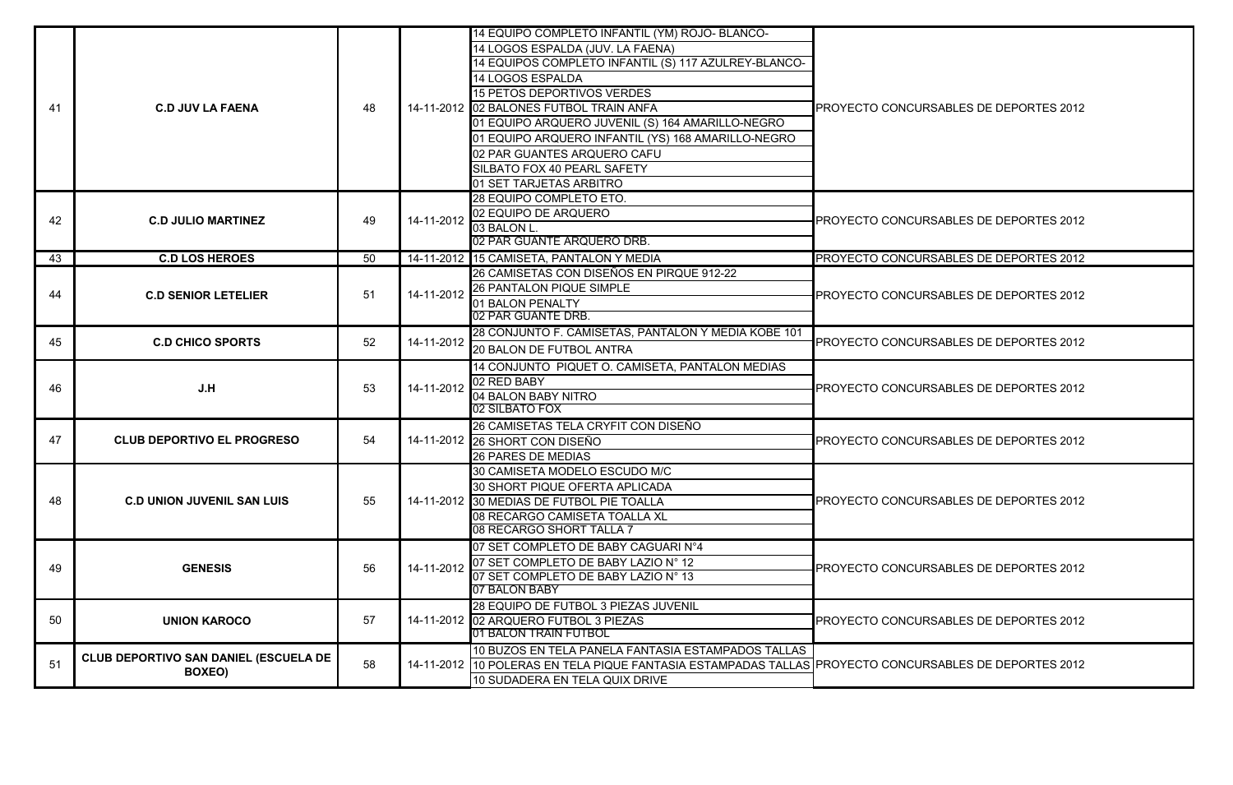|    |                                                        |    |            | 14 EQUIPO COMPLETO INFANTIL (YM) ROJO- BLANCO-                                                        |                                        |
|----|--------------------------------------------------------|----|------------|-------------------------------------------------------------------------------------------------------|----------------------------------------|
|    |                                                        |    |            | 14 LOGOS ESPALDA (JUV. LA FAENA)                                                                      |                                        |
|    |                                                        |    |            | 14 EQUIPOS COMPLETO INFANTIL (S) 117 AZULREY-BLANCO-                                                  |                                        |
| 41 |                                                        |    |            | 14 LOGOS ESPALDA                                                                                      |                                        |
|    |                                                        |    |            | 15 PETOS DEPORTIVOS VERDES                                                                            |                                        |
|    | <b>C.D JUV LA FAENA</b>                                | 48 |            | 14-11-2012 02 BALONES FUTBOL TRAIN ANFA                                                               | PROYECTO CONCURSABLES DE DEPORTES 2012 |
|    |                                                        |    |            | 01 EQUIPO ARQUERO JUVENIL (S) 164 AMARILLO-NEGRO                                                      |                                        |
|    |                                                        |    |            | 01 EQUIPO ARQUERO INFANTIL (YS) 168 AMARILLO-NEGRO                                                    |                                        |
|    |                                                        |    |            |                                                                                                       |                                        |
|    |                                                        |    |            | 02 PAR GUANTES ARQUERO CAFU                                                                           |                                        |
|    |                                                        |    |            | SILBATO FOX 40 PEARL SAFETY                                                                           |                                        |
|    |                                                        |    |            | 01 SET TARJETAS ARBITRO                                                                               |                                        |
|    |                                                        |    |            | 28 EQUIPO COMPLETO ETO.                                                                               |                                        |
| 42 | <b>C.D JULIO MARTINEZ</b>                              | 49 | 14-11-2012 | 02 EQUIPO DE ARQUERO                                                                                  | PROYECTO CONCURSABLES DE DEPORTES 2012 |
|    |                                                        |    |            | 03 BALON L.                                                                                           |                                        |
|    |                                                        |    |            | 02 PAR GUANTE ARQUERO DRB.                                                                            |                                        |
| 43 | <b>C.D LOS HEROES</b>                                  | 50 |            | 14-11-2012 15 CAMISETA, PANTALON Y MEDIA                                                              | PROYECTO CONCURSABLES DE DEPORTES 2012 |
|    | <b>C.D SENIOR LETELIER</b>                             | 51 | 14-11-2012 | 26 CAMISETAS CON DISEÑOS EN PIRQUE 912-22                                                             | PROYECTO CONCURSABLES DE DEPORTES 2012 |
| 44 |                                                        |    |            | 26 PANTALON PIQUE SIMPLE                                                                              |                                        |
|    |                                                        |    |            | 01 BALON PENALTY                                                                                      |                                        |
|    |                                                        |    |            | 02 PAR GUANTE DRB.                                                                                    |                                        |
|    |                                                        |    |            | 28 CONJUNTO F. CAMISETAS, PANTALON Y MEDIA KOBE 101                                                   |                                        |
| 45 | <b>C.D CHICO SPORTS</b>                                | 52 | 14-11-2012 | <b>20 BALON DE FUTBOL ANTRA</b>                                                                       | PROYECTO CONCURSABLES DE DEPORTES 2012 |
|    |                                                        |    |            | 14 CONJUNTO PIQUET O. CAMISETA, PANTALON MEDIAS                                                       | PROYECTO CONCURSABLES DE DEPORTES 2012 |
|    |                                                        | 53 |            | 02 RED BABY                                                                                           |                                        |
| 46 | J.H                                                    |    | 14-11-2012 | 04 BALON BABY NITRO                                                                                   |                                        |
|    |                                                        |    |            | 02 SILBATO FOX                                                                                        |                                        |
|    | <b>CLUB DEPORTIVO EL PROGRESO</b>                      | 54 |            | 26 CAMISETAS TELA CRYFIT CON DISEÑO                                                                   | PROYECTO CONCURSABLES DE DEPORTES 2012 |
| 47 |                                                        |    |            | 14-11-2012 26 SHORT CON DISEÑO                                                                        |                                        |
|    |                                                        |    |            | <b>26 PARES DE MEDIAS</b>                                                                             |                                        |
|    | <b>C.D UNION JUVENIL SAN LUIS</b>                      | 55 |            | 30 CAMISETA MODELO ESCUDO M/C                                                                         |                                        |
|    |                                                        |    |            | 30 SHORT PIQUE OFERTA APLICADA                                                                        |                                        |
| 48 |                                                        |    |            | 14-11-2012 30 MEDIAS DE FUTBOL PIE TOALLA                                                             | PROYECTO CONCURSABLES DE DEPORTES 2012 |
|    |                                                        |    |            | 08 RECARGO CAMISETA TOALLA XL                                                                         |                                        |
|    |                                                        |    |            | 08 RECARGO SHORT TALLA 7                                                                              |                                        |
|    | <b>GENESIS</b>                                         | 56 | 14-11-2012 | 07 SET COMPLETO DE BABY CAGUARI N°4                                                                   | PROYECTO CONCURSABLES DE DEPORTES 2012 |
|    |                                                        |    |            | 07 SET COMPLETO DE BABY LAZIO N° 12                                                                   |                                        |
| 49 |                                                        |    |            | 07 SET COMPLETO DE BABY LAZIO N° 13                                                                   |                                        |
|    |                                                        |    |            | 07 BALON BABY                                                                                         |                                        |
|    | <b>UNION KAROCO</b>                                    | 57 |            | 28 EQUIPO DE FUTBOL 3 PIEZAS JUVENIL                                                                  | PROYECTO CONCURSABLES DE DEPORTES 2012 |
| 50 |                                                        |    |            | 14-11-2012 02 ARQUERO FUTBOL 3 PIEZAS                                                                 |                                        |
|    |                                                        |    |            | 01 BALON TRAIN FUTBOL                                                                                 |                                        |
| 51 | CLUB DEPORTIVO SAN DANIEL (ESCUELA DE<br><b>BOXEO)</b> | 58 |            | 10 BUZOS EN TELA PANELA FANTASIA ESTAMPADOS TALLAS                                                    |                                        |
|    |                                                        |    |            | 14-11-2012 10 POLERAS EN TELA PIQUE FANTASIA ESTAMPADAS TALLAS PROYECTO CONCURSABLES DE DEPORTES 2012 |                                        |
|    |                                                        |    |            | 10 SUDADERA EN TELA QUIX DRIVE                                                                        |                                        |